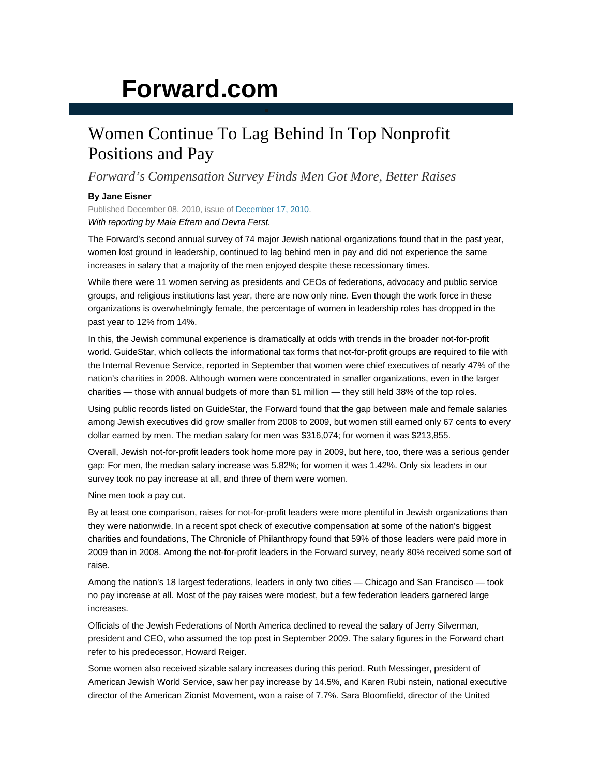## **Forward.com**

## Women Continue To Lag Behind In Top Nonprofit Positions and Pay

*Forward's Compensation Survey Finds Men Got More, Better Raises* 

## **By Jane Eisner**

Published December 08, 2010, issue of December 17, 2010. *With reporting by Maia Efrem and Devra Ferst.*

The Forward's second annual survey of 74 major Jewish national organizations found that in the past year, women lost ground in leadership, continued to lag behind men in pay and did not experience the same increases in salary that a majority of the men enjoyed despite these recessionary times.

While there were 11 women serving as presidents and CEOs of federations, advocacy and public service groups, and religious institutions last year, there are now only nine. Even though the work force in these organizations is overwhelmingly female, the percentage of women in leadership roles has dropped in the past year to 12% from 14%.

In this, the Jewish communal experience is dramatically at odds with trends in the broader not-for-profit world. GuideStar, which collects the informational tax forms that not-for-profit groups are required to file with the Internal Revenue Service, reported in September that women were chief executives of nearly 47% of the nation's charities in 2008. Although women were concentrated in smaller organizations, even in the larger charities — those with annual budgets of more than \$1 million — they still held 38% of the top roles.

Using public records listed on GuideStar, the Forward found that the gap between male and female salaries among Jewish executives did grow smaller from 2008 to 2009, but women still earned only 67 cents to every dollar earned by men. The median salary for men was \$316,074; for women it was \$213,855.

Overall, Jewish not-for-profit leaders took home more pay in 2009, but here, too, there was a serious gender gap: For men, the median salary increase was 5.82%; for women it was 1.42%. Only six leaders in our survey took no pay increase at all, and three of them were women.

Nine men took a pay cut.

By at least one comparison, raises for not-for-profit leaders were more plentiful in Jewish organizations than they were nationwide. In a recent spot check of executive compensation at some of the nation's biggest charities and foundations, The Chronicle of Philanthropy found that 59% of those leaders were paid more in 2009 than in 2008. Among the not-for-profit leaders in the Forward survey, nearly 80% received some sort of raise.

Among the nation's 18 largest federations, leaders in only two cities — Chicago and San Francisco — took no pay increase at all. Most of the pay raises were modest, but a few federation leaders garnered large increases.

Officials of the Jewish Federations of North America declined to reveal the salary of Jerry Silverman, president and CEO, who assumed the top post in September 2009. The salary figures in the Forward chart refer to his predecessor, Howard Reiger.

Some women also received sizable salary increases during this period. Ruth Messinger, president of American Jewish World Service, saw her pay increase by 14.5%, and Karen Rubi nstein, national executive director of the American Zionist Movement, won a raise of 7.7%. Sara Bloomfield, director of the United